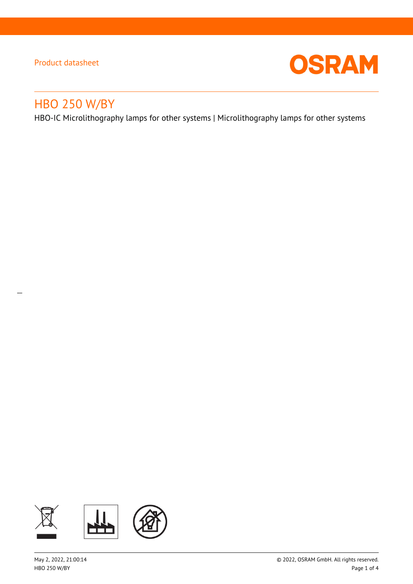$\overline{a}$ 



# HBO 250 W/BY

HBO-IC Microlithography lamps for other systems | Microlithography lamps for other systems

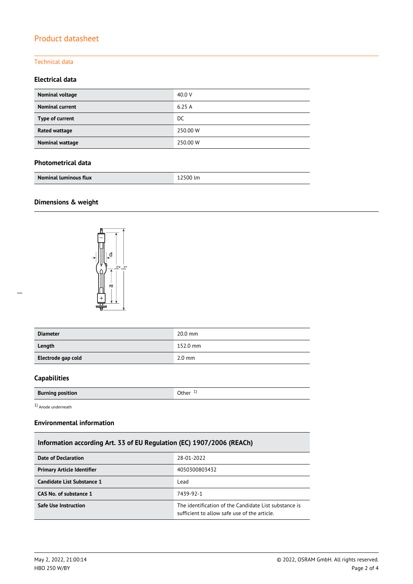#### Technical data

#### **Electrical data**

| Nominal voltage        | 40.0 V   |
|------------------------|----------|
| <b>Nominal current</b> | 6.25A    |
| Type of current        | DC.      |
| Rated wattage          | 250.00 W |
| Nominal wattage        | 250.00 W |

#### **Photometrical data**

| <b>Nominal luminous flux</b> | 12500 lm |
|------------------------------|----------|
|                              |          |

#### **Dimensions & weight**



| <b>Diameter</b>    | $20.0$ mm        |
|--------------------|------------------|
| Length             | 152.0 mm         |
| Electrode gap cold | $2.0 \text{ mm}$ |

#### **Capabilities**

| <b>Burning position</b> | Other |
|-------------------------|-------|
|                         |       |

1) Anode underneath

#### **Environmental information**

### **Information according Art. 33 of EU Regulation (EC) 1907/2006 (REACh)**

| Date of Declaration               | 28-01-2022                                                                                            |  |
|-----------------------------------|-------------------------------------------------------------------------------------------------------|--|
| <b>Primary Article Identifier</b> | 4050300803432                                                                                         |  |
| Candidate List Substance 1        | Lead                                                                                                  |  |
| CAS No. of substance 1            | 7439-92-1                                                                                             |  |
| <b>Safe Use Instruction</b>       | The identification of the Candidate List substance is<br>sufficient to allow safe use of the article. |  |

 $\overline{a}$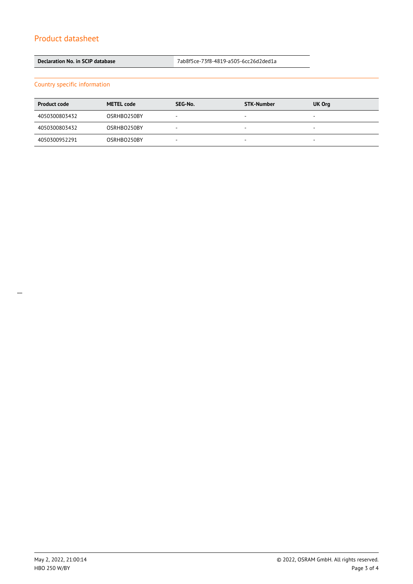**Declaration No. in SCIP database** 7ab8f5ce-73f8-4819-a505-6cc26d2ded1a

Country specific information

| <b>Product code</b> | <b>METEL code</b> | SEG-No. | <b>STK-Number</b>        | UK Org                   |
|---------------------|-------------------|---------|--------------------------|--------------------------|
| 4050300803432       | OSRHBO250BY       |         | -                        | $\overline{\phantom{a}}$ |
| 4050300803432       | OSRHBO250BY       |         |                          | $\overline{\phantom{a}}$ |
| 4050300952291       | OSRHBO250BY       | -       | $\overline{\phantom{a}}$ | $\overline{\phantom{a}}$ |